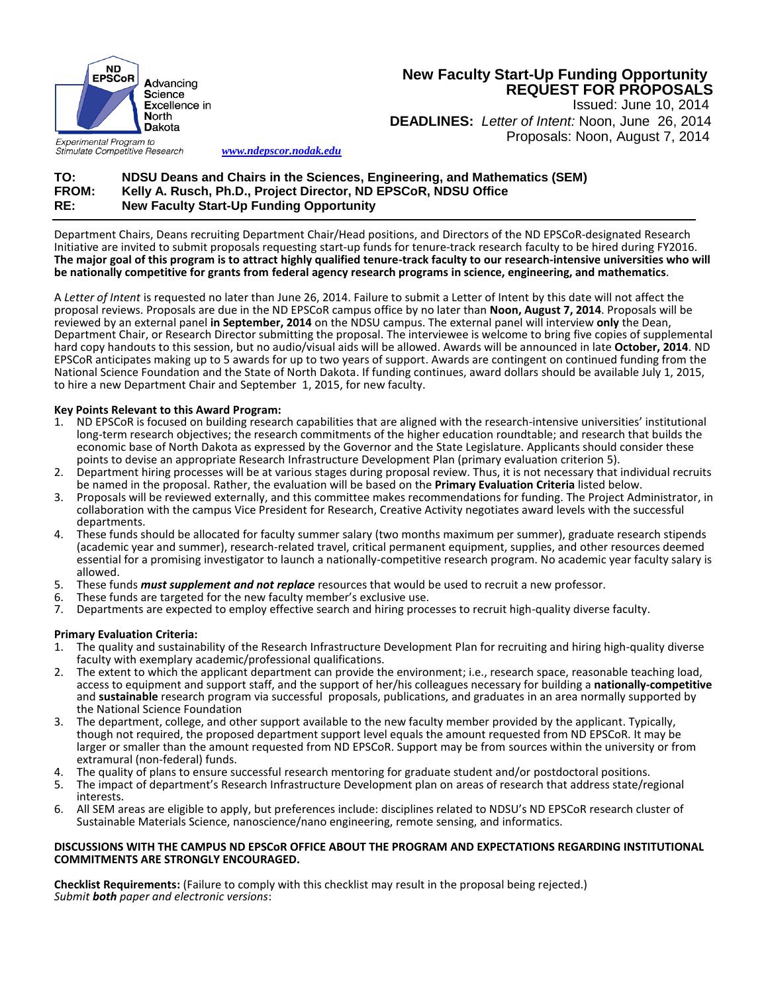

# **New Faculty Start-Up Funding Opportunity REQUEST FOR PROPOSALS**

 Issued: June 10, 2014 **DEADLINES:** *Letter of Intent:* Noon, June 26, 2014 Proposals: Noon, August 7, 2014

Experimental Program to Stimulate Competitive Research

*[www.ndepscor.nodak.edu](http://www.ndepscor.nodak.edu/)*

## **TO: NDSU Deans and Chairs in the Sciences, Engineering, and Mathematics (SEM) FROM: Kelly A. Rusch, Ph.D., Project Director, ND EPSCoR, NDSU Office RE: New Faculty Start-Up Funding Opportunity**

Department Chairs, Deans recruiting Department Chair/Head positions, and Directors of the ND EPSCoR-designated Research Initiative are invited to submit proposals requesting start-up funds for tenure-track research faculty to be hired during FY2016. **The major goal of this program is to attract highly qualified tenure-track faculty to our research-intensive universities who will be nationally competitive for grants from federal agency research programs in science, engineering, and mathematics**.

A *Letter of Intent* is requested no later than June 26, 2014. Failure to submit a Letter of Intent by this date will not affect the proposal reviews. Proposals are due in the ND EPSCoR campus office by no later than **Noon, August 7, 2014**. Proposals will be reviewed by an external panel **in September, 2014** on the NDSU campus. The external panel will interview **only** the Dean, Department Chair, or Research Director submitting the proposal. The interviewee is welcome to bring five copies of supplemental hard copy handouts to this session, but no audio/visual aids will be allowed. Awards will be announced in late **October, 2014**. ND EPSCoR anticipates making up to 5 awards for up to two years of support. Awards are contingent on continued funding from the National Science Foundation and the State of North Dakota. If funding continues, award dollars should be available July 1, 2015, to hire a new Department Chair and September 1, 2015, for new faculty.

### **Key Points Relevant to this Award Program:**

- 1. ND EPSCoR is focused on building research capabilities that are aligned with the research-intensive universities' institutional long-term research objectives; the research commitments of the higher education roundtable; and research that builds the economic base of North Dakota as expressed by the Governor and the State Legislature. Applicants should consider these points to devise an appropriate Research Infrastructure Development Plan (primary evaluation criterion 5).
- 2. Department hiring processes will be at various stages during proposal review. Thus, it is not necessary that individual recruits be named in the proposal. Rather, the evaluation will be based on the **Primary Evaluation Criteria** listed below.
- 3. Proposals will be reviewed externally, and this committee makes recommendations for funding. The Project Administrator, in collaboration with the campus Vice President for Research, Creative Activity negotiates award levels with the successful departments.
- 4. These funds should be allocated for faculty summer salary (two months maximum per summer), graduate research stipends (academic year and summer), research-related travel, critical permanent equipment, supplies, and other resources deemed essential for a promising investigator to launch a nationally-competitive research program. No academic year faculty salary is allowed.
- 5. These funds *must supplement and not replace* resources that would be used to recruit a new professor.
- 6. These funds are targeted for the new faculty member's exclusive use.
- 7. Departments are expected to employ effective search and hiring processes to recruit high-quality diverse faculty.

### **Primary Evaluation Criteria:**

- 1. The quality and sustainability of the Research Infrastructure Development Plan for recruiting and hiring high-quality diverse faculty with exemplary academic/professional qualifications.
- 2. The extent to which the applicant department can provide the environment; i.e., research space, reasonable teaching load, access to equipment and support staff, and the support of her/his colleagues necessary for building a **nationally-competitive** and **sustainable** research program via successful proposals, publications, and graduates in an area normally supported by the National Science Foundation
- 3. The department, college, and other support available to the new faculty member provided by the applicant. Typically, though not required, the proposed department support level equals the amount requested from ND EPSCoR. It may be larger or smaller than the amount requested from ND EPSCoR. Support may be from sources within the university or from extramural (non-federal) funds.
- 4. The quality of plans to ensure successful research mentoring for graduate student and/or postdoctoral positions.<br>5. The impact of department's Research Infrastructure Development plan on areas of research that address s
- 5. The impact of department's Research Infrastructure Development plan on areas of research that address state/regional interests.
- 6. All SEM areas are eligible to apply, but preferences include: disciplines related to NDSU's ND EPSCoR research cluster of Sustainable Materials Science, nanoscience/nano engineering, remote sensing, and informatics.

#### **DISCUSSIONS WITH THE CAMPUS ND EPSCoR OFFICE ABOUT THE PROGRAM AND EXPECTATIONS REGARDING INSTITUTIONAL COMMITMENTS ARE STRONGLY ENCOURAGED.**

**Checklist Requirements:** (Failure to comply with this checklist may result in the proposal being rejected.) *Submit both paper and electronic versions*: